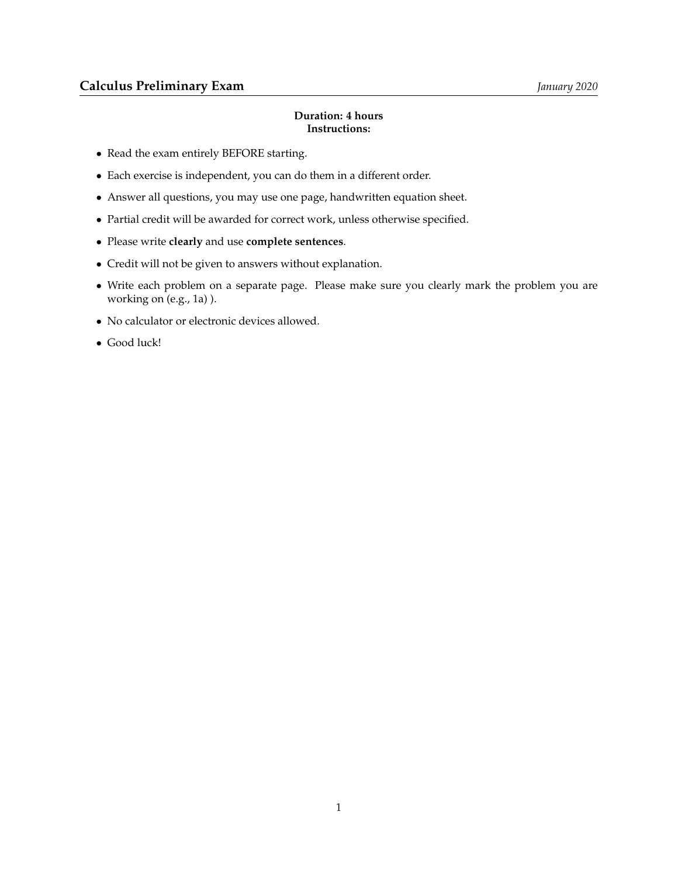## **Duration: 4 hours Instructions:**

- Read the exam entirely BEFORE starting.
- Each exercise is independent, you can do them in a different order.
- Answer all questions, you may use one page, handwritten equation sheet.
- Partial credit will be awarded for correct work, unless otherwise specified.
- Please write **clearly** and use **complete sentences**.
- Credit will not be given to answers without explanation.
- Write each problem on a separate page. Please make sure you clearly mark the problem you are working on (e.g., 1a) ).
- No calculator or electronic devices allowed.
- Good luck!